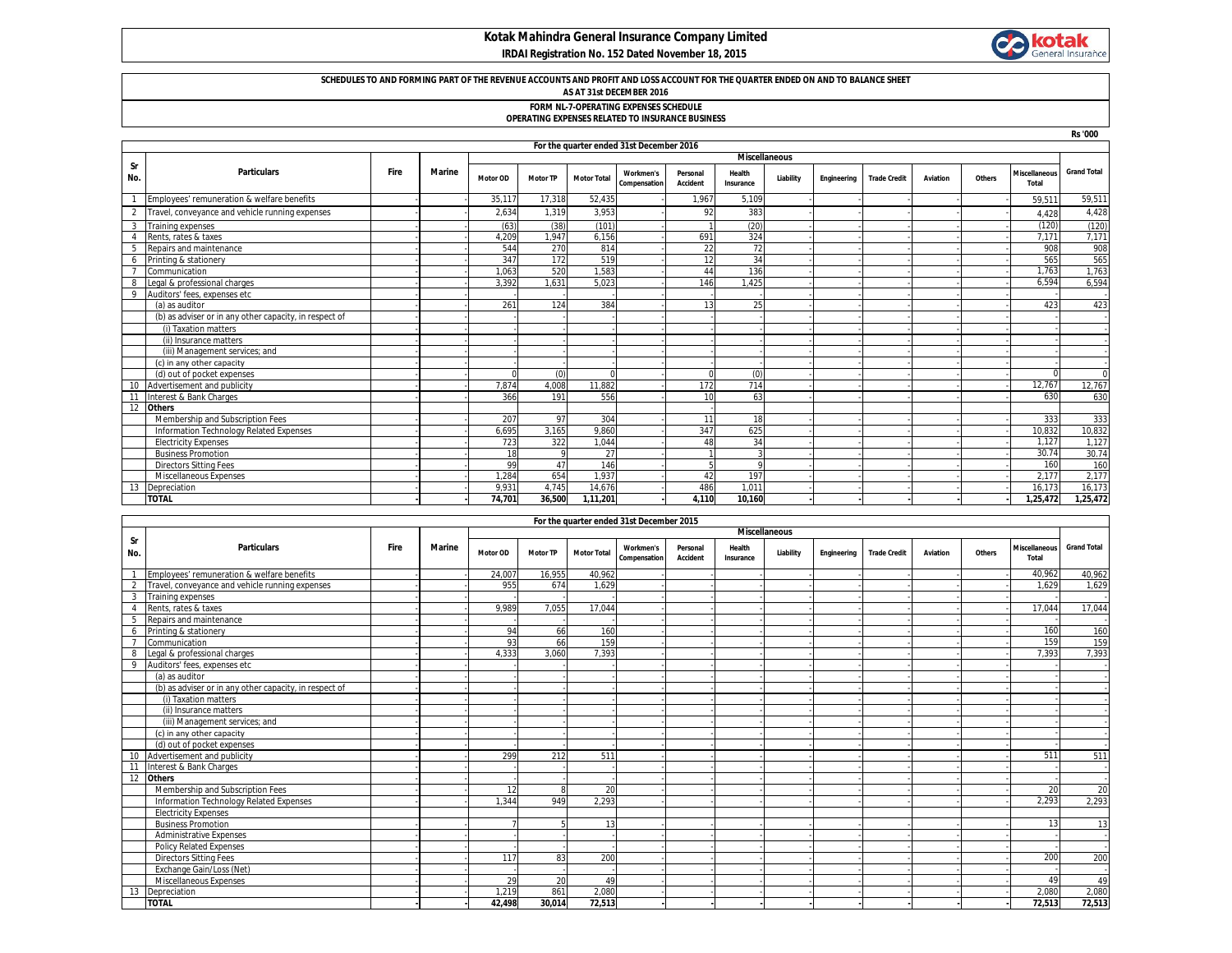### **Kotak Mahindra General Insurance Company Limited IRDAI Registration No. 152 Dated November 18, 2015**



# **SCHEDULES TO AND FORMING PART OF THE REVENUE ACCOUNTS AND PROFIT AND LOSS ACCOUNT FOR THE QUARTER ENDED ON AND TO BALANCE SHEET AS AT 31st DECEMBER 2016**

## **FORM NL-7-OPERATING EXPENSES SCHEDULE**

#### **OPERATING EXPENSES RELATED TO INSURANCE BUSINESS**

|                      |                                                        |      |               |                 |                 |                    |                                  |                             |                     |           |             |                     |                 |        |                               | <b>Rs '000</b>     |
|----------------------|--------------------------------------------------------|------|---------------|-----------------|-----------------|--------------------|----------------------------------|-----------------------------|---------------------|-----------|-------------|---------------------|-----------------|--------|-------------------------------|--------------------|
|                      | For the quarter ended 31st December 2016               |      |               |                 |                 |                    |                                  |                             |                     |           |             |                     |                 |        |                               |                    |
| <b>Miscellaneous</b> |                                                        |      |               |                 |                 |                    |                                  |                             |                     |           |             |                     |                 |        |                               |                    |
| Sr<br>No.            | <b>Particulars</b>                                     | Fire | <b>Marine</b> | <b>Motor OD</b> | <b>Motor TP</b> | <b>Motor Total</b> | <b>Workmen's</b><br>Compensation | Personal<br><b>Accident</b> | Health<br>Insurance | Liability | Engineering | <b>Trade Credit</b> | <b>Aviation</b> | Others | <b>Miscellaneous</b><br>Total | <b>Grand Total</b> |
|                      | Employees' remuneration & welfare benefits             |      |               | 35,117          | 17.318          | 52.435             |                                  | 1.967                       | 5.109               |           |             |                     |                 |        | 59.511                        | 59,511             |
|                      | Travel, conveyance and vehicle running expenses        |      |               | 2,634           | 1,319           | 3,953              |                                  | 92                          | 383                 |           |             |                     |                 |        | 4.428                         | 4,428              |
|                      | Training expenses                                      |      |               | (63)            | (38)            | (101)              |                                  |                             | (20)                |           |             |                     |                 |        | (120)                         | (120)              |
|                      | Rents, rates & taxes                                   |      |               | 4.209           | 1.947           | 6.156              |                                  | 691                         | 324                 |           |             |                     |                 |        | 7.171                         | 7,171              |
|                      | Repairs and maintenance                                |      |               | 544             | 270             | 814                |                                  | 22                          | 72                  |           |             |                     |                 |        | 908                           | 908                |
|                      | Printing & stationery                                  |      |               | 347             | 172             | 519                |                                  | 12                          | 34                  |           |             |                     |                 |        | 565                           | 565                |
|                      | Communication                                          |      |               | 1.063           | 520             | 1.583              |                                  | 44                          | 136                 |           |             |                     |                 |        | 1.763                         | 1,763              |
|                      | Legal & professional charges                           |      |               | 3.392           | 1.631           | 5.023              |                                  | 146                         | 1.425               |           |             |                     |                 |        | 6.594                         | 6,594              |
| 9                    | Auditors' fees, expenses etc                           |      |               |                 |                 |                    |                                  |                             |                     |           |             |                     |                 |        |                               |                    |
|                      | (a) as auditor                                         |      |               | 261             | 124             | 384                |                                  | 13                          | 25                  |           |             |                     |                 |        | 423                           | 423                |
|                      | (b) as adviser or in any other capacity, in respect of |      |               |                 |                 |                    |                                  |                             |                     |           |             |                     |                 |        |                               |                    |
|                      | (i) Taxation matters                                   |      |               |                 |                 |                    |                                  |                             |                     |           |             |                     |                 |        |                               |                    |
|                      | (ii) Insurance matters                                 |      |               |                 |                 |                    |                                  |                             |                     |           |             |                     |                 |        |                               |                    |
|                      | (iii) Management services; and                         |      |               |                 |                 |                    |                                  |                             |                     |           |             |                     |                 |        |                               |                    |
|                      | (c) in any other capacity                              |      |               |                 |                 |                    |                                  |                             |                     |           |             |                     |                 |        |                               |                    |
|                      | (d) out of pocket expenses                             |      |               |                 | (0)             | C                  |                                  | $\Omega$                    | (0)                 |           |             |                     |                 |        | $\Omega$                      | $\Omega$           |
|                      | Advertisement and publicity                            |      |               | 7.874           | 4,008           | 11.882             |                                  | 172                         | 714                 |           |             |                     |                 |        | 12.767                        | 12,767             |
|                      | Interest & Bank Charges                                |      |               | 366             | 191             | 556                |                                  | 10                          | 63                  |           |             |                     |                 |        | 630                           | 630                |
|                      | <b>Others</b>                                          |      |               |                 |                 |                    |                                  |                             |                     |           |             |                     |                 |        |                               |                    |
|                      | Membership and Subscription Fees                       |      |               | 207             | 97              | 304                |                                  | 11                          | 18                  |           |             |                     |                 |        | 333                           | 333                |
|                      | Information Technology Related Expenses                |      |               | 6.695           | 3.165           | 9.860              |                                  | 347                         | 625                 |           |             |                     |                 |        | 10,832                        | 10,832             |
|                      | <b>Electricity Expenses</b>                            |      |               | 723             | 322             | 1.044              |                                  | 48                          | 34                  |           |             |                     |                 |        | 1.127                         | 1,127              |
|                      | <b>Business Promotion</b>                              |      |               | 18              | $\mathbf Q$     | 27                 |                                  |                             |                     |           |             |                     |                 |        | 30.74                         | 30.74              |
|                      | <b>Directors Sitting Fees</b>                          |      |               | 99              | 47              | 146                |                                  |                             |                     |           |             |                     |                 |        | 160                           | 160                |
|                      | Miscellaneous Expenses                                 |      |               | .284            | 654             | 1.937              |                                  | 42                          | 197                 |           |             |                     |                 |        | 2.177                         | 2,177              |
|                      | Depreciation                                           |      |               | 9.931           | 4.745           | 14.676             |                                  | 486                         | 1.011               |           |             |                     |                 |        | 16.173                        | 16,173             |
|                      | <b>TOTAL</b>                                           |      |               | 74,701          | 36.500          | 1.11.201           |                                  | 4.110                       | 10.160              |           |             |                     |                 |        | 1,25,472                      | 1,25,472           |

|                | For the quarter ended 31st December 2015               |             |               |                      |                 |                    |                                  |                             |                     |           |             |                     |                 |        |                               |                    |
|----------------|--------------------------------------------------------|-------------|---------------|----------------------|-----------------|--------------------|----------------------------------|-----------------------------|---------------------|-----------|-------------|---------------------|-----------------|--------|-------------------------------|--------------------|
|                |                                                        |             |               | <b>Miscellaneous</b> |                 |                    |                                  |                             |                     |           |             |                     |                 |        |                               |                    |
| Sr<br>No.      | <b>Particulars</b>                                     | <b>Fire</b> | <b>Marine</b> | <b>Motor OD</b>      | <b>Motor TP</b> | <b>Motor Total</b> | <b>Workmen's</b><br>Compensation | Personal<br><b>Accident</b> | Health<br>Insurance | Liability | Engineering | <b>Trade Credit</b> | <b>Aviation</b> | Others | <b>Miscellaneous</b><br>Total | <b>Grand Total</b> |
|                | Employees' remuneration & welfare benefits             |             |               | 24.007               | 16.955          | 40.962             |                                  |                             |                     |           |             |                     |                 |        | 40,962                        | 40,962             |
| $\overline{2}$ | Travel, conveyance and vehicle running expenses        |             |               | 955                  | 674             | 1.629              |                                  |                             |                     |           |             |                     |                 |        | 1.629                         | 1,629              |
| $\overline{3}$ | Training expenses                                      |             |               |                      |                 |                    |                                  |                             |                     |           |             |                     |                 |        |                               |                    |
| $\overline{4}$ | Rents, rates & taxes                                   |             |               | 9.989                | 7.055           | 17.044             |                                  |                             |                     |           |             |                     |                 |        | 17.044                        | 17.044             |
| -5             | Repairs and maintenance                                |             |               |                      |                 |                    |                                  |                             |                     |           |             |                     |                 |        |                               |                    |
| 6              | Printing & stationery                                  |             |               | 94                   | 66              | 160                |                                  |                             |                     |           |             |                     |                 |        | 160                           | 160                |
|                | Communication                                          |             |               | 93                   | 66              | 159                |                                  |                             |                     |           |             |                     |                 |        | 159                           | 159                |
| 8              | Legal & professional charges                           |             |               | 4.333                | 3.060           | 7,393              |                                  |                             |                     |           |             |                     |                 |        | 7,393                         | 7,393              |
| 9              | Auditors' fees, expenses etc                           |             |               |                      |                 |                    |                                  |                             |                     |           |             |                     |                 |        |                               |                    |
|                | (a) as auditor                                         |             |               |                      |                 |                    |                                  |                             |                     |           |             |                     |                 |        |                               |                    |
|                | (b) as adviser or in any other capacity, in respect of |             |               |                      |                 |                    |                                  |                             |                     |           |             |                     |                 |        |                               |                    |
|                | (i) Taxation matters                                   |             |               |                      |                 |                    |                                  |                             |                     |           |             |                     |                 |        |                               |                    |
|                | (ii) Insurance matters                                 |             |               |                      |                 |                    |                                  |                             |                     |           |             |                     |                 |        |                               |                    |
|                | (iii) Management services; and                         |             |               |                      |                 |                    |                                  |                             |                     |           |             |                     |                 |        |                               |                    |
|                | (c) in any other capacity                              |             |               |                      |                 |                    |                                  |                             |                     |           |             |                     |                 |        |                               |                    |
|                | (d) out of pocket expenses                             |             |               |                      |                 |                    |                                  |                             |                     |           |             |                     |                 |        |                               |                    |
| 10             | Advertisement and publicity                            |             |               | 299                  | 212             | 511                |                                  |                             |                     |           |             |                     |                 |        | 511                           | 511                |
| 11             | Interest & Bank Charges                                |             |               |                      |                 |                    |                                  |                             |                     |           |             |                     |                 |        |                               |                    |
|                | 12 Others                                              |             |               |                      |                 |                    |                                  |                             |                     |           |             |                     |                 |        |                               |                    |
|                | Membership and Subscription Fees                       |             |               | 12                   |                 | 20                 |                                  |                             |                     |           |             |                     |                 |        | 20                            | 20                 |
|                | Information Technology Related Expenses                |             |               | 1.344                | 949             | 2,293              |                                  |                             |                     |           |             |                     |                 |        | 2,293                         | 2,293              |
|                | <b>Electricity Expenses</b>                            |             |               |                      |                 |                    |                                  |                             |                     |           |             |                     |                 |        |                               |                    |
|                | <b>Business Promotion</b>                              |             |               |                      |                 | 13                 |                                  |                             |                     |           |             |                     |                 |        | 13                            | 13                 |
|                | <b>Administrative Expenses</b>                         |             |               |                      |                 |                    |                                  |                             |                     |           |             |                     |                 |        |                               |                    |
|                | <b>Policy Related Expenses</b>                         |             |               |                      |                 |                    |                                  |                             |                     |           |             |                     |                 |        |                               |                    |
|                | <b>Directors Sitting Fees</b>                          |             |               | 117                  | 83              | 200                |                                  |                             |                     |           |             |                     |                 |        | 200                           | 200                |
|                | Exchange Gain/Loss (Net)                               |             |               |                      |                 |                    |                                  |                             |                     |           |             |                     |                 |        |                               |                    |
|                | Miscellaneous Expenses                                 |             |               | 29                   | 20              | 49                 |                                  |                             |                     |           |             |                     |                 |        | 49                            | 49                 |
| 13             | Depreciation                                           |             |               | 1.219                | 861             | 2.080              |                                  |                             |                     |           |             |                     |                 |        | 2.080                         | 2,080              |
|                | <b>TOTAL</b>                                           |             |               | 42,498               | 30,014          | 72,513             |                                  |                             |                     |           |             |                     |                 |        | 72,513                        | 72,513             |